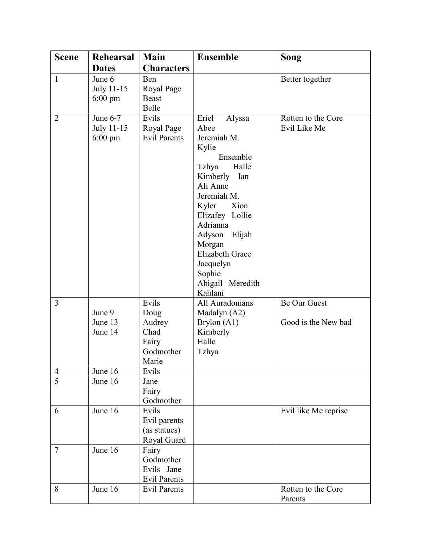| <b>Scene</b>   | Rehearsal                                     | Main                                                           | <b>Ensemble</b>                                                                                                                                                                                                                                                                           | Song                                |
|----------------|-----------------------------------------------|----------------------------------------------------------------|-------------------------------------------------------------------------------------------------------------------------------------------------------------------------------------------------------------------------------------------------------------------------------------------|-------------------------------------|
|                | <b>Dates</b>                                  | <b>Characters</b>                                              |                                                                                                                                                                                                                                                                                           |                                     |
| $\mathbf{1}$   | June 6<br>July 11-15<br>$6:00 \text{ pm}$     | Ben<br>Royal Page<br><b>Beast</b><br>Belle                     |                                                                                                                                                                                                                                                                                           | Better together                     |
| $\overline{2}$ | June $6-7$<br>July 11-15<br>$6:00 \text{ pm}$ | Evils<br>Royal Page<br><b>Evil Parents</b>                     | Eriel<br>Alyssa<br>Abee<br>Jeremiah M.<br>Kylie<br>Ensemble<br>Halle<br>Tzhya<br>Kimberly<br>Ian<br>Ali Anne<br>Jeremiah M.<br>Kyler<br>Xion<br>Elizafey Lollie<br>Adrianna<br>Elijah<br>Adyson<br>Morgan<br><b>Elizabeth Grace</b><br>Jacquelyn<br>Sophie<br>Abigail Meredith<br>Kahlani | Rotten to the Core<br>Evil Like Me  |
| 3              | June 9<br>June 13<br>June 14                  | Evils<br>Doug<br>Audrey<br>Chad<br>Fairy<br>Godmother<br>Marie | All Auradonians<br>Madalyn (A2)<br>Brylon (A1)<br>Kimberly<br>Halle<br>Tzhya                                                                                                                                                                                                              | Be Our Guest<br>Good is the New bad |
| $\overline{4}$ | June 16                                       | Evils                                                          |                                                                                                                                                                                                                                                                                           |                                     |
| $\overline{5}$ | June 16                                       | Jane<br>Fairy<br>Godmother                                     |                                                                                                                                                                                                                                                                                           |                                     |
| 6              | June 16                                       | Evils<br>Evil parents<br>(as statues)<br>Royal Guard           |                                                                                                                                                                                                                                                                                           | Evil like Me reprise                |
| $\overline{7}$ | June 16                                       | Fairy<br>Godmother<br>Evils Jane<br><b>Evil Parents</b>        |                                                                                                                                                                                                                                                                                           |                                     |
| 8              | June 16                                       | <b>Evil Parents</b>                                            |                                                                                                                                                                                                                                                                                           | Rotten to the Core<br>Parents       |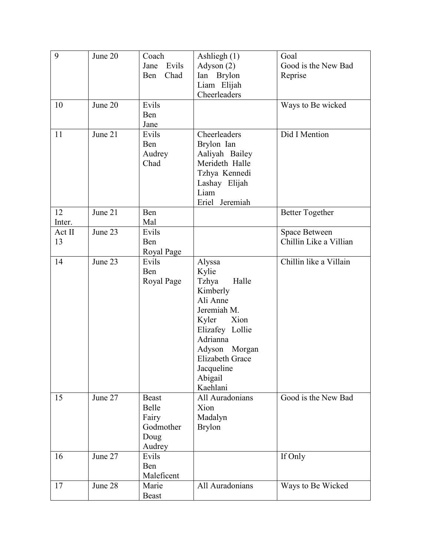| 9      | June 20 | Coach         | Ashliegh $(1)$         | Goal                   |
|--------|---------|---------------|------------------------|------------------------|
|        |         | Evils<br>Jane | Adyson (2)             | Good is the New Bad    |
|        |         | Chad<br>Ben   | Ian Brylon             | Reprise                |
|        |         |               | Liam Elijah            |                        |
|        |         |               | Cheerleaders           |                        |
| 10     | June 20 | Evils         |                        | Ways to Be wicked      |
|        |         | Ben           |                        |                        |
|        |         | Jane          |                        |                        |
| 11     | June 21 | Evils         | Cheerleaders           | Did I Mention          |
|        |         | Ben           | Brylon Ian             |                        |
|        |         | Audrey        | Aaliyah Bailey         |                        |
|        |         | Chad          | Merideth Halle         |                        |
|        |         |               | Tzhya Kennedi          |                        |
|        |         |               | Lashay Elijah          |                        |
|        |         |               | Liam                   |                        |
|        |         |               | Eriel Jeremiah         |                        |
| 12     | June 21 | Ben           |                        | <b>Better Together</b> |
| Inter. |         | Mal           |                        |                        |
| Act II | June 23 | Evils         |                        | Space Between          |
| 13     |         | Ben           |                        | Chillin Like a Villian |
|        |         | Royal Page    |                        |                        |
| 14     | June 23 | Evils         | Alyssa                 | Chillin like a Villain |
|        |         | Ben           | Kylie                  |                        |
|        |         | Royal Page    | Halle<br>Tzhya         |                        |
|        |         |               | Kimberly               |                        |
|        |         |               | Ali Anne               |                        |
|        |         |               | Jeremiah M.            |                        |
|        |         |               | Kyler<br>Xion          |                        |
|        |         |               | Elizafey Lollie        |                        |
|        |         |               | Adrianna               |                        |
|        |         |               | Adyson Morgan          |                        |
|        |         |               | <b>Elizabeth Grace</b> |                        |
|        |         |               | Jacqueline             |                        |
|        |         |               | Abigail                |                        |
|        |         |               | Kaehlani               |                        |
| 15     | June 27 | <b>Beast</b>  | All Auradonians        | Good is the New Bad    |
|        |         | Belle         | Xion                   |                        |
|        |         | Fairy         | Madalyn                |                        |
|        |         | Godmother     | <b>Brylon</b>          |                        |
|        |         | Doug          |                        |                        |
|        |         | Audrey        |                        |                        |
| 16     | June 27 | Evils         |                        | If Only                |
|        |         | Ben           |                        |                        |
|        |         | Maleficent    |                        |                        |
| 17     | June 28 | Marie         | All Auradonians        | Ways to Be Wicked      |
|        |         | <b>Beast</b>  |                        |                        |